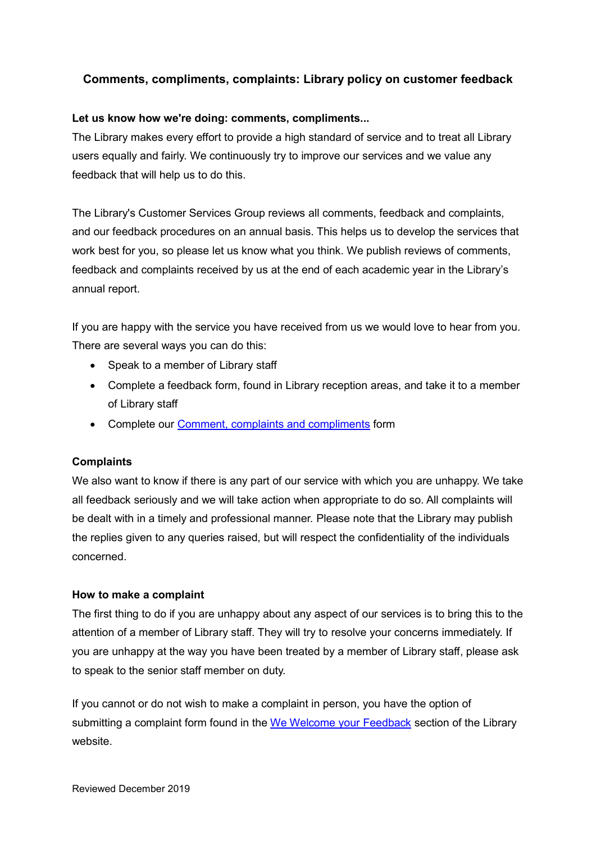# **Comments, compliments, complaints: Library policy on customer feedback**

## **Let us know how we're doing: comments, compliments...**

The Library makes every effort to provide a high standard of service and to treat all Library users equally and fairly. We continuously try to improve our services and we value any feedback that will help us to do this.

The Library's Customer Services Group reviews all comments, feedback and complaints, and our feedback procedures on an annual basis. This helps us to develop the services that work best for you, so please let us know what you think. We publish reviews of comments, feedback and complaints received by us at the end of each academic year in the Library's annual report.

If you are happy with the service you have received from us we would love to hear from you. There are several ways you can do this:

- Speak to a member of Library staff
- Complete a feedback form, found in Library reception areas, and take it to a member of Library staff
- Complete our [Comment, complaints and compliments](http://www.qub.ac.uk/directorates/InformationServices/TheLibrary/CustomerService/Doyouhavefeedback/) form

#### **Complaints**

We also want to know if there is any part of our service with which you are unhappy. We take all feedback seriously and we will take action when appropriate to do so. All complaints will be dealt with in a timely and professional manner. Please note that the Library may publish the replies given to any queries raised, but will respect the confidentiality of the individuals concerned.

#### **How to make a complaint**

The first thing to do if you are unhappy about any aspect of our services is to bring this to the attention of a member of Library staff. They will try to resolve your concerns immediately. If you are unhappy at the way you have been treated by a member of Library staff, please ask to speak to the senior staff member on duty.

If you cannot or do not wish to make a complaint in person, you have the option of submitting a complaint form found in the [We Welcome your Feedback](http://www.qub.ac.uk/directorates/InformationServices/TheLibrary/CustomerService/Doyouhavefeedback/) section of the Library website.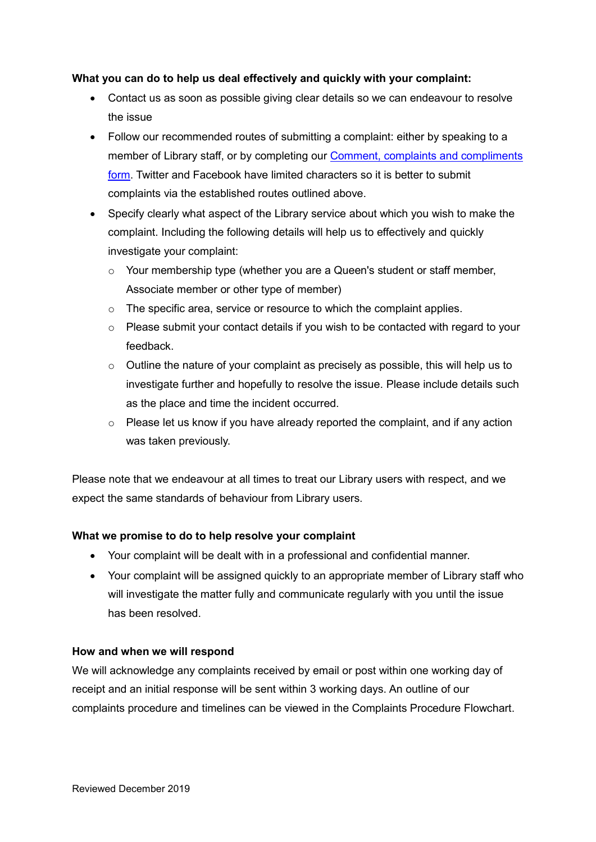### **What you can do to help us deal effectively and quickly with your complaint:**

- Contact us as soon as possible giving clear details so we can endeavour to resolve the issue
- Follow our recommended routes of submitting a complaint: either by speaking to a member of Library staff, or by completing our [Comment, complaints and compliments](http://www.qub.ac.uk/directorates/InformationServices/TheLibrary/CustomerService/Doyouhavefeedback/) [form.](http://www.qub.ac.uk/directorates/InformationServices/TheLibrary/CustomerService/Doyouhavefeedback/) Twitter and Facebook have limited characters so it is better to submit complaints via the established routes outlined above.
- Specify clearly what aspect of the Library service about which you wish to make the complaint. Including the following details will help us to effectively and quickly investigate your complaint:
	- o Your membership type (whether you are a Queen's student or staff member, Associate member or other type of member)
	- o The specific area, service or resource to which the complaint applies.
	- $\circ$  Please submit your contact details if you wish to be contacted with regard to your feedback.
	- $\circ$  Outline the nature of your complaint as precisely as possible, this will help us to investigate further and hopefully to resolve the issue. Please include details such as the place and time the incident occurred.
	- $\circ$  Please let us know if you have already reported the complaint, and if any action was taken previously.

Please note that we endeavour at all times to treat our Library users with respect, and we expect the same standards of behaviour from Library users.

# **What we promise to do to help resolve your complaint**

- Your complaint will be dealt with in a professional and confidential manner.
- Your complaint will be assigned quickly to an appropriate member of Library staff who will investigate the matter fully and communicate regularly with you until the issue has been resolved.

#### **How and when we will respond**

We will acknowledge any complaints received by email or post within one working day of receipt and an initial response will be sent within 3 working days. An outline of our complaints procedure and timelines can be viewed in the Complaints Procedure Flowchart.